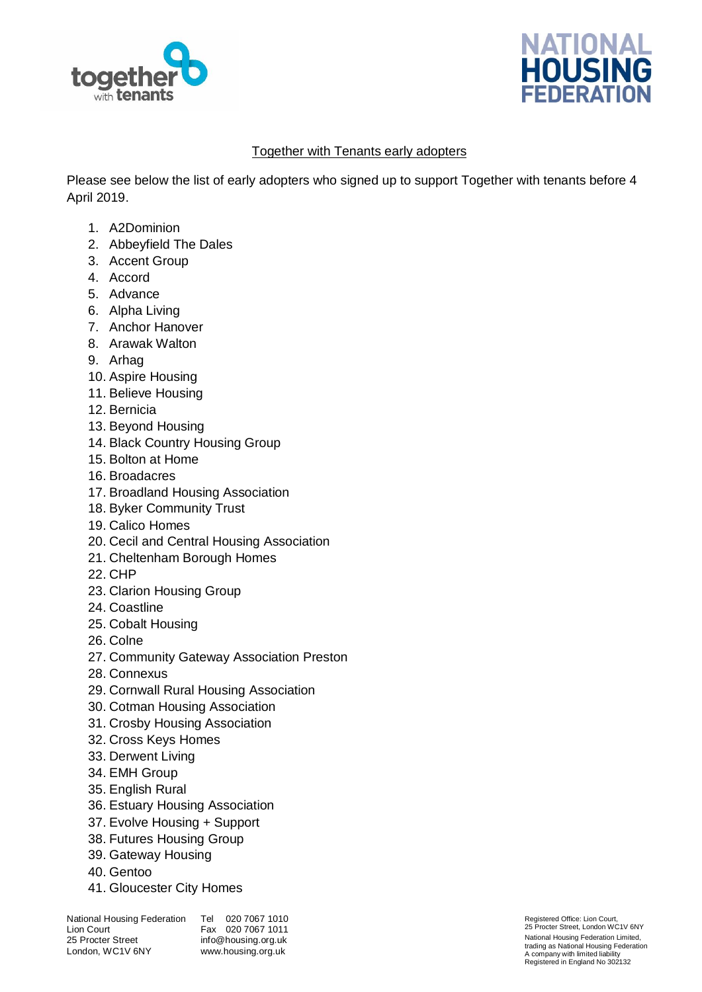



## Together with Tenants early adopters

Please see below the list of early adopters who signed up to support Together with tenants before 4 April 2019.

- 1. A2Dominion
- 2. Abbeyfield The Dales
- 3. Accent Group
- 4. Accord
- 5. Advance
- 6. Alpha Living
- 7. Anchor Hanover
- 8. Arawak Walton
- 9. Arhag
- 10. Aspire Housing
- 11. Believe Housing
- 12. Bernicia
- 13. Beyond Housing
- 14. Black Country Housing Group
- 15. Bolton at Home
- 16. Broadacres
- 17. Broadland Housing Association
- 18. Byker Community Trust
- 19. Calico Homes
- 20. Cecil and Central Housing Association
- 21. Cheltenham Borough Homes
- 22. CHP
- 23. Clarion Housing Group
- 24. Coastline
- 25. Cobalt Housing
- 26. Colne
- 27. Community Gateway Association Preston
- 28. Connexus
- 29. Cornwall Rural Housing Association
- 30. Cotman Housing Association
- 31. Crosby Housing Association
- 32. Cross Keys Homes
- 33. Derwent Living
- 34. EMH Group
- 35. English Rural
- 36. Estuary Housing Association
- 37. Evolve Housing + Support
- 38. Futures Housing Group
- 39. Gateway Housing
- 40. Gentoo
- 41. Gloucester City Homes

Tel 020 7067 1010 Fax 020 7067 1011 info@housing.org.uk www.housing.org.uk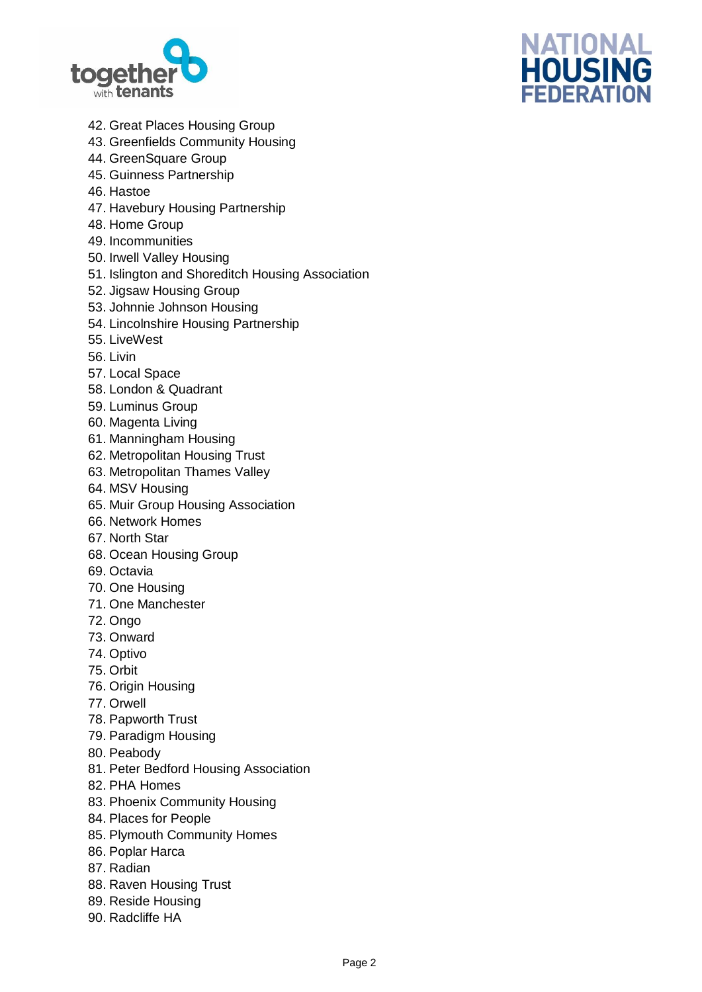



- 42. Great Places Housing Group
- 43. Greenfields Community Housing
- 44. GreenSquare Group
- 45. Guinness Partnership
- 46. Hastoe
- 47. Havebury Housing Partnership
- 48. Home Group
- 49. Incommunities
- 50. Irwell Valley Housing
- 51. Islington and Shoreditch Housing Association
- 52. Jigsaw Housing Group
- 53. Johnnie Johnson Housing
- 54. Lincolnshire Housing Partnership
- 55. LiveWest
- 56. Livin
- 57. Local Space
- 58. London & Quadrant
- 59. Luminus Group
- 60. Magenta Living
- 61. Manningham Housing
- 62. Metropolitan Housing Trust
- 63. Metropolitan Thames Valley
- 64. MSV Housing
- 65. Muir Group Housing Association
- 66. Network Homes
- 67. North Star
- 68. Ocean Housing Group
- 69. Octavia
- 70. One Housing
- 71. One Manchester
- 72. Ongo
- 73. Onward
- 74. Optivo
- 75. Orbit
- 76. Origin Housing
- 77. Orwell
- 78. Papworth Trust
- 79. Paradigm Housing
- 80. Peabody
- 81. Peter Bedford Housing Association
- 82. PHA Homes
- 83. Phoenix Community Housing
- 84. Places for People
- 85. Plymouth Community Homes
- 86. Poplar Harca
- 87. Radian
- 88. Raven Housing Trust
- 89. Reside Housing
- 90. Radcliffe HA